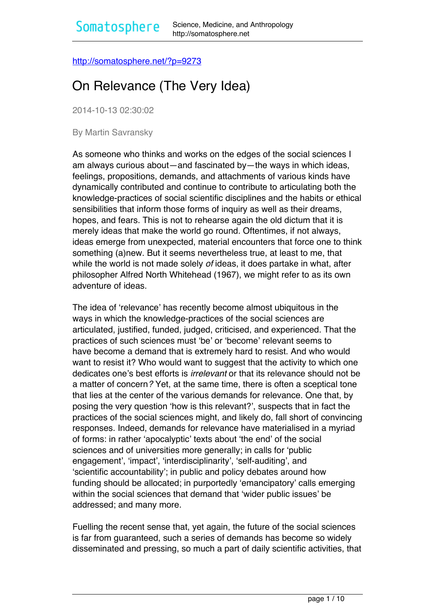<http://somatosphere.net/?p=9273>

# On Relevance (The Very Idea)

2014-10-13 02:30:02

By Martin Savransky

As someone who thinks and works on the edges of the social sciences I am always curious about—and fascinated by—the ways in which ideas, feelings, propositions, demands, and attachments of various kinds have dynamically contributed and continue to contribute to articulating both the knowledge-practices of social scientific disciplines and the habits or ethical sensibilities that inform those forms of inquiry as well as their dreams, hopes, and fears. This is not to rehearse again the old dictum that it is merely ideas that make the world go round. Oftentimes, if not always, ideas emerge from unexpected, material encounters that force one to think something (a)new. But it seems nevertheless true, at least to me, that while the world is not made solely *of* ideas, it does partake in what, after philosopher Alfred North Whitehead (1967), we might refer to as its own adventure of ideas.

The idea of 'relevance' has recently become almost ubiquitous in the ways in which the knowledge-practices of the social sciences are articulated, justified, funded, judged, criticised, and experienced. That the practices of such sciences must 'be' or 'become' relevant seems to have become a demand that is extremely hard to resist. And who would want to resist it? Who would want to suggest that the activity to which one dedicates one's best efforts is *irrelevant* or that its relevance should not be a matter of concern*?* Yet, at the same time, there is often a sceptical tone that lies at the center of the various demands for relevance. One that, by posing the very question 'how is this relevant?', suspects that in fact the practices of the social sciences might, and likely do, fall short of convincing responses. Indeed, demands for relevance have materialised in a myriad of forms: in rather 'apocalyptic' texts about 'the end' of the social sciences and of universities more generally; in calls for 'public engagement', 'impact', 'interdisciplinarity', 'self-auditing', and 'scientific accountability'; in public and policy debates around how funding should be allocated; in purportedly 'emancipatory' calls emerging within the social sciences that demand that 'wider public issues' be addressed; and many more.

Fuelling the recent sense that, yet again, the future of the social sciences is far from guaranteed, such a series of demands has become so widely disseminated and pressing, so much a part of daily scientific activities, that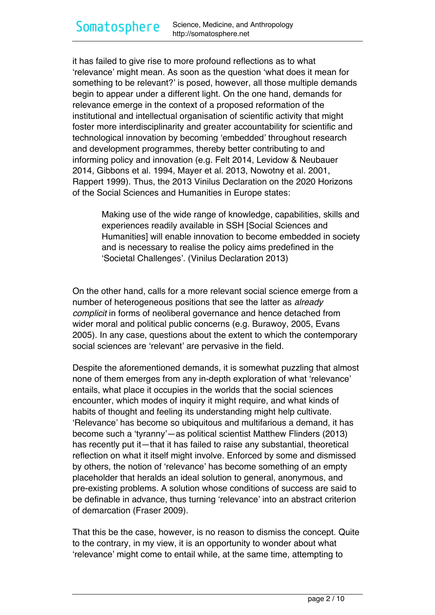it has failed to give rise to more profound reflections as to what 'relevance' might mean. As soon as the question 'what does it mean for something to be relevant?' is posed, however, all those multiple demands begin to appear under a different light. On the one hand, demands for relevance emerge in the context of a proposed reformation of the institutional and intellectual organisation of scientific activity that might foster more interdisciplinarity and greater accountability for scientific and technological innovation by becoming 'embedded' throughout research and development programmes, thereby better contributing to and informing policy and innovation (e.g. Felt 2014, Levidow & Neubauer 2014, Gibbons et al. 1994, Mayer et al. 2013, Nowotny et al. 2001, Rappert 1999). Thus, the 2013 Vinilus Declaration on the 2020 Horizons of the Social Sciences and Humanities in Europe states:

> Making use of the wide range of knowledge, capabilities, skills and experiences readily available in SSH [Social Sciences and Humanities] will enable innovation to become embedded in society and is necessary to realise the policy aims predefined in the 'Societal Challenges'. (Vinilus Declaration 2013)

On the other hand, calls for a more relevant social science emerge from a number of heterogeneous positions that see the latter as *already complicit* in forms of neoliberal governance and hence detached from wider moral and political public concerns (e.g. Burawoy, 2005, Evans 2005). In any case, questions about the extent to which the contemporary social sciences are 'relevant' are pervasive in the field.

Despite the aforementioned demands, it is somewhat puzzling that almost none of them emerges from any in-depth exploration of what 'relevance' entails, what place it occupies in the worlds that the social sciences encounter, which modes of inquiry it might require, and what kinds of habits of thought and feeling its understanding might help cultivate. 'Relevance' has become so ubiquitous and multifarious a demand, it has become such a 'tyranny'—as political scientist Matthew Flinders (2013) has recently put it—that it has failed to raise any substantial, theoretical reflection on what it itself might involve. Enforced by some and dismissed by others, the notion of 'relevance' has become something of an empty placeholder that heralds an ideal solution to general, anonymous, and pre-existing problems. A solution whose conditions of success are said to be definable in advance, thus turning 'relevance' into an abstract criterion of demarcation (Fraser 2009).

That this be the case, however, is no reason to dismiss the concept. Quite to the contrary, in my view, it is an opportunity to wonder about what 'relevance' might come to entail while, at the same time, attempting to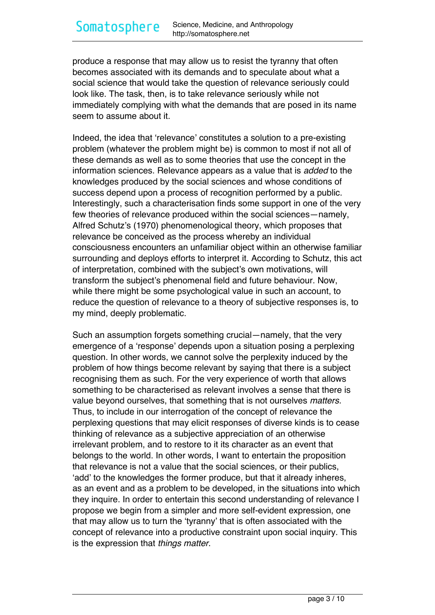produce a response that may allow us to resist the tyranny that often becomes associated with its demands and to speculate about what a social science that would take the question of relevance seriously could look like. The task, then, is to take relevance seriously while not immediately complying with what the demands that are posed in its name seem to assume about it.

Indeed, the idea that 'relevance' constitutes a solution to a pre-existing problem (whatever the problem might be) is common to most if not all of these demands as well as to some theories that use the concept in the information sciences. Relevance appears as a value that is *added* to the knowledges produced by the social sciences and whose conditions of success depend upon a process of recognition performed by a public. Interestingly, such a characterisation finds some support in one of the very few theories of relevance produced within the social sciences—namely, Alfred Schutz's (1970) phenomenological theory, which proposes that relevance be conceived as the process whereby an individual consciousness encounters an unfamiliar object within an otherwise familiar surrounding and deploys efforts to interpret it. According to Schutz, this act of interpretation, combined with the subject's own motivations, will transform the subject's phenomenal field and future behaviour. Now, while there might be some psychological value in such an account, to reduce the question of relevance to a theory of subjective responses is, to my mind, deeply problematic.

Such an assumption forgets something crucial—namely, that the very emergence of a 'response' depends upon a situation posing a perplexing question. In other words, we cannot solve the perplexity induced by the problem of how things become relevant by saying that there is a subject recognising them as such. For the very experience of worth that allows something to be characterised as relevant involves a sense that there is value beyond ourselves, that something that is not ourselves *matters.* Thus, to include in our interrogation of the concept of relevance the perplexing questions that may elicit responses of diverse kinds is to cease thinking of relevance as a subjective appreciation of an otherwise irrelevant problem, and to restore to it its character as an event that belongs to the world. In other words, I want to entertain the proposition that relevance is not a value that the social sciences, or their publics, 'add' to the knowledges the former produce, but that it already inheres, as an event and as a problem to be developed, in the situations into which they inquire. In order to entertain this second understanding of relevance I propose we begin from a simpler and more self-evident expression, one that may allow us to turn the 'tyranny' that is often associated with the concept of relevance into a productive constraint upon social inquiry. This is the expression that *things matter*.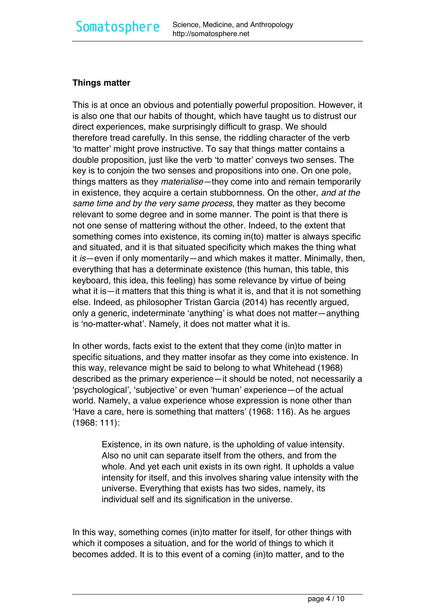#### **Things matter**

This is at once an obvious and potentially powerful proposition. However, it is also one that our habits of thought, which have taught us to distrust our direct experiences, make surprisingly difficult to grasp. We should therefore tread carefully. In this sense, the riddling character of the verb 'to matter' might prove instructive. To say that things matter contains a double proposition, just like the verb 'to matter' conveys two senses. The key is to conjoin the two senses and propositions into one. On one pole, things matters as they *materialise—*they come into and remain temporarily in existence, they acquire a certain stubbornness. On the other, *and at the same time and by the very same process*, they matter as they become relevant to some degree and in some manner. The point is that there is not one sense of mattering without the other. Indeed, to the extent that something comes into existence, its coming in(to) matter is always specific and situated, and it is that situated specificity which makes the thing what it *is*—even if only momentarily—and which makes it matter. Minimally, then, everything that has a determinate existence (this human, this table, this keyboard, this idea, this feeling) has some relevance by virtue of being what it is—it matters that this thing is what it is, and that it is not something else. Indeed, as philosopher Tristan Garcia (2014) has recently argued, only a generic, indeterminate 'anything' is what does not matter—anything is 'no-matter-what'. Namely, it does not matter what it is.

In other words, facts exist to the extent that they come (in)to matter in specific situations, and they matter insofar as they come into existence. In this way, relevance might be said to belong to what Whitehead (1968) described as the primary experience—it should be noted, not necessarily a 'psychological', 'subjective' or even 'human' experience—of the actual world. Namely, a value experience whose expression is none other than 'Have a care, here is something that matters' (1968: 116). As he argues (1968: 111):

Existence, in its own nature, is the upholding of value intensity. Also no unit can separate itself from the others, and from the whole. And yet each unit exists in its own right. It upholds a value intensity for itself, and this involves sharing value intensity with the universe. Everything that exists has two sides, namely, its individual self and its signification in the universe.

In this way, something comes (in)to matter for itself, for other things with which it composes a situation, and for the world of things to which it becomes added. It is to this event of a coming (in)to matter, and to the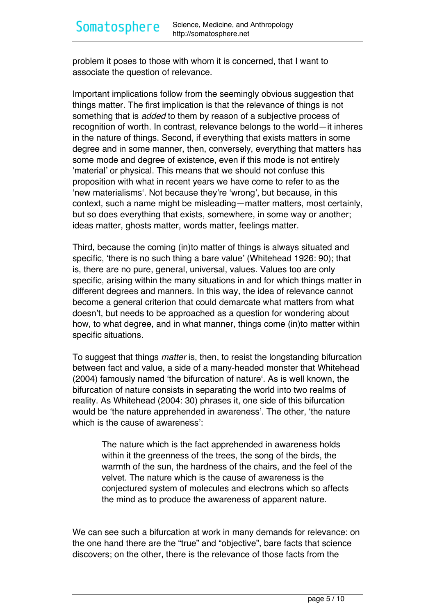problem it poses to those with whom it is concerned, that I want to associate the question of relevance.

Important implications follow from the seemingly obvious suggestion that things matter. The first implication is that the relevance of things is not something that is *added* to them by reason of a subjective process of recognition of worth. In contrast, relevance belongs to the world—it inheres in the nature of things. Second, if everything that exists matters in some degree and in some manner, then, conversely, everything that matters has some mode and degree of existence, even if this mode is not entirely 'material' or physical. This means that we should not confuse this proposition with what in recent years we have come to refer to as the 'new materialisms'. Not because they're 'wrong', but because, in this context, such a name might be misleading—matter matters, most certainly, but so does everything that exists, somewhere, in some way or another; ideas matter, ghosts matter, words matter, feelings matter.

Third, because the coming (in)to matter of things is always situated and specific, 'there is no such thing a bare value' (Whitehead 1926: 90); that is, there are no pure, general, universal, values. Values too are only specific, arising within the many situations in and for which things matter in different degrees and manners. In this way, the idea of relevance cannot become a general criterion that could demarcate what matters from what doesn't, but needs to be approached as a question for wondering about how, to what degree, and in what manner, things come (in)to matter within specific situations.

To suggest that things *matter* is, then, to resist the longstanding bifurcation between fact and value, a side of a many-headed monster that Whitehead (2004) famously named 'the bifurcation of nature'. As is well known, the bifurcation of nature consists in separating the world into two realms of reality. As Whitehead (2004: 30) phrases it, one side of this bifurcation would be 'the nature apprehended in awareness'. The other, 'the nature which is the cause of awareness'<sup>:</sup>

The nature which is the fact apprehended in awareness holds within it the greenness of the trees, the song of the birds, the warmth of the sun, the hardness of the chairs, and the feel of the velvet. The nature which is the cause of awareness is the conjectured system of molecules and electrons which so affects the mind as to produce the awareness of apparent nature.

We can see such a bifurcation at work in many demands for relevance: on the one hand there are the "true" and "objective", bare facts that science discovers; on the other, there is the relevance of those facts from the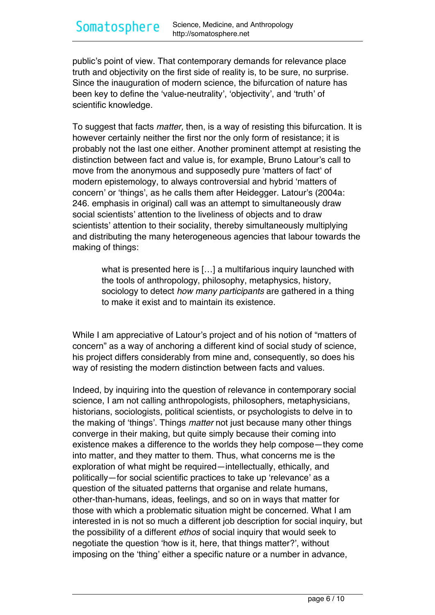public's point of view. That contemporary demands for relevance place truth and objectivity on the first side of reality is, to be sure, no surprise. Since the inauguration of modern science, the bifurcation of nature has been key to define the 'value-neutrality', 'objectivity', and 'truth' of scientific knowledge.

To suggest that facts *matter,* then, is a way of resisting this bifurcation. It is however certainly neither the first nor the only form of resistance; it is probably not the last one either. Another prominent attempt at resisting the distinction between fact and value is, for example, Bruno Latour's call to move from the anonymous and supposedly pure 'matters of fact' of modern epistemology, to always controversial and hybrid 'matters of concern' or 'things', as he calls them after Heidegger. Latour's (2004a: 246. emphasis in original) call was an attempt to simultaneously draw social scientists' attention to the liveliness of objects and to draw scientists' attention to their sociality, thereby simultaneously multiplying and distributing the many heterogeneous agencies that labour towards the making of things:

what is presented here is […] a multifarious inquiry launched with the tools of anthropology, philosophy, metaphysics, history, sociology to detect *how many participants* are gathered in a thing to make it exist and to maintain its existence.

While I am appreciative of Latour's project and of his notion of "matters of concern" as a way of anchoring a different kind of social study of science, his project differs considerably from mine and, consequently, so does his way of resisting the modern distinction between facts and values.

Indeed, by inquiring into the question of relevance in contemporary social science, I am not calling anthropologists, philosophers, metaphysicians, historians, sociologists, political scientists, or psychologists to delve in to the making of 'things'. Things *matter* not just because many other things converge in their making, but quite simply because their coming into existence makes a difference to the worlds they help compose—they come into matter, and they matter to them. Thus, what concerns me is the exploration of what might be required—intellectually, ethically, and politically—for social scientific practices to take up 'relevance' as a question of the situated patterns that organise and relate humans, other-than-humans, ideas, feelings, and so on in ways that matter for those with which a problematic situation might be concerned. What I am interested in is not so much a different job description for social inquiry, but the possibility of a different *ethos* of social inquiry that would seek to negotiate the question 'how is it, here, that things matter?', without imposing on the 'thing' either a specific nature or a number in advance,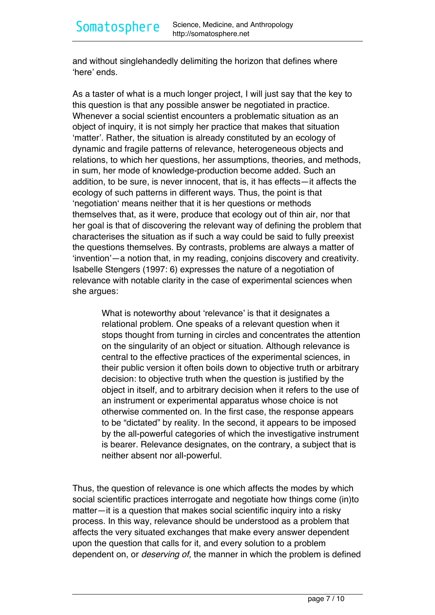and without singlehandedly delimiting the horizon that defines where 'here' ends.

As a taster of what is a much longer project, I will just say that the key to this question is that any possible answer be negotiated in practice. Whenever a social scientist encounters a problematic situation as an object of inquiry, it is not simply her practice that makes that situation 'matter'. Rather, the situation is already constituted by an ecology of dynamic and fragile patterns of relevance, heterogeneous objects and relations, to which her questions, her assumptions, theories, and methods, in sum, her mode of knowledge-production become added. Such an addition, to be sure, is never innocent, that is, it has effects—it affects the ecology of such patterns in different ways. Thus, the point is that 'negotiation' means neither that it is her questions or methods themselves that, as it were, produce that ecology out of thin air, nor that her goal is that of discovering the relevant way of defining the problem that characterises the situation as if such a way could be said to fully preexist the questions themselves. By contrasts, problems are always a matter of 'invention'—a notion that, in my reading, conjoins discovery and creativity. Isabelle Stengers (1997: 6) expresses the nature of a negotiation of relevance with notable clarity in the case of experimental sciences when she argues:

What is noteworthy about 'relevance' is that it designates a relational problem. One speaks of a relevant question when it stops thought from turning in circles and concentrates the attention on the singularity of an object or situation. Although relevance is central to the effective practices of the experimental sciences, in their public version it often boils down to objective truth or arbitrary decision: to objective truth when the question is justified by the object in itself, and to arbitrary decision when it refers to the use of an instrument or experimental apparatus whose choice is not otherwise commented on. In the first case, the response appears to be "dictated" by reality. In the second, it appears to be imposed by the all-powerful categories of which the investigative instrument is bearer. Relevance designates, on the contrary, a subject that is neither absent nor all-powerful.

Thus, the question of relevance is one which affects the modes by which social scientific practices interrogate and negotiate how things come (in)to matter—it is a question that makes social scientific inquiry into a risky process. In this way, relevance should be understood as a problem that affects the very situated exchanges that make every answer dependent upon the question that calls for it, and every solution to a problem dependent on, or *deserving of*, the manner in which the problem is defined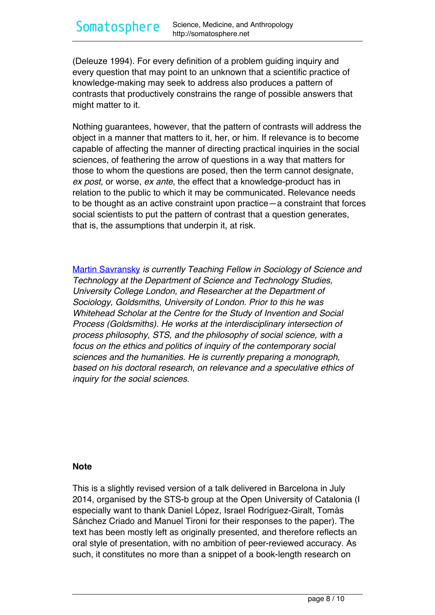(Deleuze 1994). For every definition of a problem guiding inquiry and every question that may point to an unknown that a scientific practice of knowledge-making may seek to address also produces a pattern of contrasts that productively constrains the range of possible answers that might matter to it.

Nothing guarantees, however, that the pattern of contrasts will address the object in a manner that matters to it, her, or him. If relevance is to become capable of affecting the manner of directing practical inquiries in the social sciences, of feathering the arrow of questions in a way that matters for those to whom the questions are posed, then the term cannot designate, *ex post*, or worse, *ex ante*, the effect that a knowledge-product has in relation to the public to which it may be communicated. Relevance needs to be thought as an active constraint upon practice—a constraint that forces social scientists to put the pattern of contrast that a question generates, that is, the assumptions that underpin it, at risk.

[Martin Savransky](https://ucl.academia.edu/MartinSavransky) *is currently Teaching Fellow in Sociology of Science and Technology at the Department of Science and Technology Studies, University College London, and Researcher at the Department of Sociology, Goldsmiths, University of London. Prior to this he was Whitehead Scholar at the Centre for the Study of Invention and Social Process (Goldsmiths). He works at the interdisciplinary intersection of process philosophy, STS, and the philosophy of social science, with a focus on the ethics and politics of inquiry of the contemporary social sciences and the humanities. He is currently preparing a monograph, based on his doctoral research, on relevance and a speculative ethics of inquiry for the social sciences.*

#### **Note**

This is a slightly revised version of a talk delivered in Barcelona in July 2014, organised by the STS-b group at the Open University of Catalonia (I especially want to thank Daniel López, Israel Rodríguez-Giralt, Tomás Sánchez Criado and Manuel Tironi for their responses to the paper). The text has been mostly left as originally presented, and therefore reflects an oral style of presentation, with no ambition of peer-reviewed accuracy. As such, it constitutes no more than a snippet of a book-length research on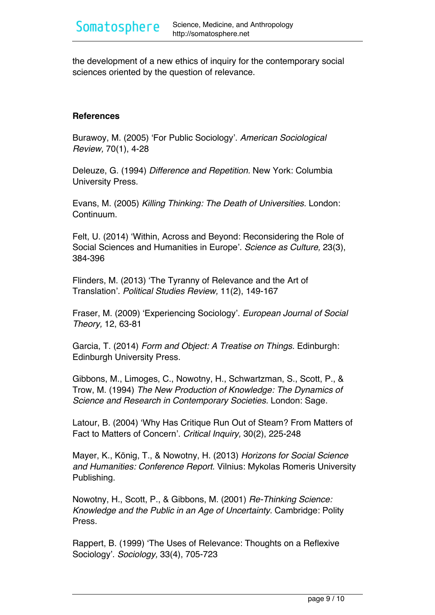the development of a new ethics of inquiry for the contemporary social sciences oriented by the question of relevance.

#### **References**

Burawoy, M. (2005) 'For Public Sociology'. *American Sociological Review,* 70(1), 4-28

Deleuze, G. (1994) *Difference and Repetition.* New York: Columbia University Press.

Evans, M. (2005) *Killing Thinking: The Death of Universities.* London: Continuum.

Felt, U. (2014) 'Within, Across and Beyond: Reconsidering the Role of Social Sciences and Humanities in Europe'. *Science as Culture,* 23(3), 384-396

Flinders, M. (2013) 'The Tyranny of Relevance and the Art of Translation'. *Political Studies Review,* 11(2), 149-167

Fraser, M. (2009) 'Experiencing Sociology'. *European Journal of Social Theory,* 12, 63-81

Garcia, T. (2014) *Form and Object: A Treatise on Things.* Edinburgh: Edinburgh University Press.

Gibbons, M., Limoges, C., Nowotny, H., Schwartzman, S., Scott, P., & Trow, M. (1994) *The New Production of Knowledge: The Dynamics of Science and Research in Contemporary Societies.* London: Sage.

Latour, B. (2004) 'Why Has Critique Run Out of Steam? From Matters of Fact to Matters of Concern'. *Critical Inquiry,* 30(2), 225-248

Mayer, K., König, T., & Nowotny, H. (2013) *Horizons for Social Science and Humanities: Conference Report.* Vilnius: Mykolas Romeris University Publishing.

Nowotny, H., Scott, P., & Gibbons, M. (2001) *Re-Thinking Science: Knowledge and the Public in an Age of Uncertainty.* Cambridge: Polity Press.

Rappert, B. (1999) 'The Uses of Relevance: Thoughts on a Reflexive Sociology'. *Sociology,* 33(4), 705-723